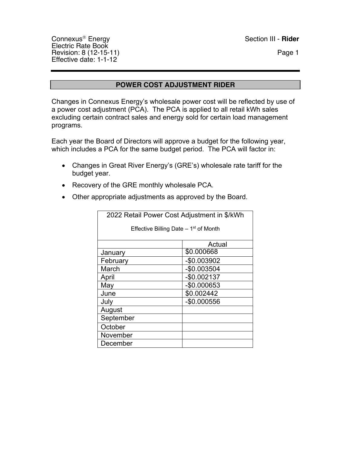Connexus<sup>®</sup> Energy Section III - **Rider** Electric Rate Book Revision: 8 (12-15-11) Page 1 Effective date: 1-1-12

#### **POWER COST ADJUSTMENT RIDER**

Changes in Connexus Energy's wholesale power cost will be reflected by use of a power cost adjustment (PCA). The PCA is applied to all retail kWh sales excluding certain contract sales and energy sold for certain load management programs.

Each year the Board of Directors will approve a budget for the following year, which includes a PCA for the same budget period. The PCA will factor in:

- Changes in Great River Energy's (GRE's) wholesale rate tariff for the budget year.
- Recovery of the GRE monthly wholesale PCA.
- Other appropriate adjustments as approved by the Board.

| 2022 Retail Power Cost Adjustment in \$/kWh |              |  |  |  |  |  |  |  |  |
|---------------------------------------------|--------------|--|--|--|--|--|--|--|--|
| Effective Billing Date $-1st$ of Month      |              |  |  |  |  |  |  |  |  |
|                                             |              |  |  |  |  |  |  |  |  |
|                                             | Actual       |  |  |  |  |  |  |  |  |
| January                                     | \$0.000668   |  |  |  |  |  |  |  |  |
| February                                    | -\$0.003902  |  |  |  |  |  |  |  |  |
| March                                       | $-$0.003504$ |  |  |  |  |  |  |  |  |
| April                                       | $-$0.002137$ |  |  |  |  |  |  |  |  |
| May                                         | -\$0.000653  |  |  |  |  |  |  |  |  |
| June                                        | \$0.002442   |  |  |  |  |  |  |  |  |
| July                                        | -\$0.000556  |  |  |  |  |  |  |  |  |
| August                                      |              |  |  |  |  |  |  |  |  |
| September                                   |              |  |  |  |  |  |  |  |  |
| October                                     |              |  |  |  |  |  |  |  |  |
| November                                    |              |  |  |  |  |  |  |  |  |
| December                                    |              |  |  |  |  |  |  |  |  |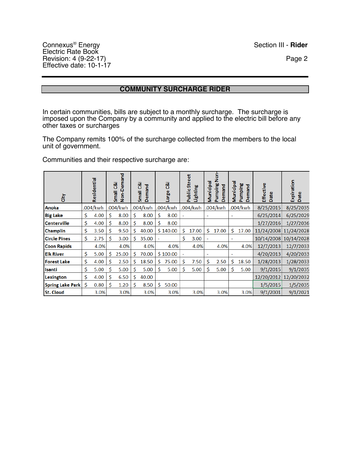## **COMMUNITY SURCHARGE RIDER**

In certain communities, bills are subject to a monthly surcharge. The surcharge is imposed upon the Company by a community and applied to the electric bill before any other taxes or surcharges

The Company remits 100% of the surcharge collected from the members to the local unit of government.

Communities and their respective surcharge are:

| 흉                       |    | Residential |    | Non-Demand<br>Small C&I |   | ල්<br>Demand<br>Small |    | ෂ්<br>Large |                | <b>Street</b><br>Lighting<br>Public: | Municipal | ġ<br>Pumping N<br>emand<br>O | Municipa | Pumping<br>emand<br>$\Omega$ | Effective<br>Date | Expiration<br>Date |
|-------------------------|----|-------------|----|-------------------------|---|-----------------------|----|-------------|----------------|--------------------------------------|-----------|------------------------------|----------|------------------------------|-------------------|--------------------|
| Anoka                   |    | .004/kwh    |    | .004/kwh                |   | .004/kwh              |    | .004/kwh    |                | .004/kwh                             |           | .004/kwh                     |          | .004/kwh                     | 8/25/2015         | 8/25/2035          |
| <b>Big Lake</b>         | \$ | 4.00        | Ś. | 8.00                    | Ś | 8.00                  | \$ | 8.00        | $\overline{a}$ |                                      |           |                              |          |                              | 6/25/2014         | 6/25/2029          |
| <b>Centerville</b>      | \$ | 4.00        | Ś  | 8.00                    | Ś | 8.00                  | Ś  | 8.00        |                |                                      |           |                              |          |                              | 1/27/2016         | 1/27/2036          |
| <b>Champlin</b>         | \$ | 3.50        | \$ | 9.50                    | Ś | 40.00                 |    | \$140.00    | Ś              | 17.00                                | Ś         | 17.00                        | \$       | 17.00                        | 11/24/2008        | 11/24/2028         |
| <b>Circle Pines</b>     | \$ | 2.75        | Ś  | 3.00                    | Ś | 35.00                 | ٠  |             | Ś              | 3.00                                 |           |                              |          |                              | 10/14/2008        | 10/14/2028         |
| <b>Coon Rapids</b>      |    | 4.0%        |    | 4.0%                    |   | 4.0%                  |    | 4.0%        |                | 4.0%                                 |           | 4.0%                         |          | 4.0%                         | 12/7/2013         | 12/7/2033          |
| <b>Elk River</b>        | \$ | 5.00        | Ś  | 25.00                   | Ś | 70.00                 |    | \$100.00    | ۰              |                                      |           |                              | ۰        |                              | 4/20/2013         | 4/20/2033          |
| <b>Forest Lake</b>      | \$ | 4.00        | Ŝ. | 2.50                    | Ś | 18.50                 | \$ | 75.00       | \$             | 7.50                                 | \$        | 2.50                         | \$       | 18.50                        | 1/28/2013         | 1/28/2033          |
| <b>Isanti</b>           | \$ | 5.00        | Ś  | 5.00                    | Ś | 5.00                  | Ś  | 5.00        | Ś              | 5.00                                 | Ś         | 5.00                         | Ś        | 5.00                         | 9/1/2015          | 9/1/2035           |
| Lexington               | Ś  | 4.00        | Ś  | 6.50                    | Ś | 40.00                 |    |             |                |                                      |           |                              |          |                              | 12/20/2012        | 12/20/2032         |
| <b>Spring Lake Park</b> | Ś  | 0.80        | Ś  | 1.20                    | Ś | 8.50                  | Ś  | 50.00       |                |                                      |           |                              |          |                              | 1/5/2015          | 1/5/2035           |
| <b>St. Cloud</b>        |    | 3.0%        |    | 3.0%                    |   | 3.0%                  |    | 3.0%        |                | 3.0%                                 |           | 3.0%                         |          | 3.0%                         | 9/1/2001          | 9/1/2021           |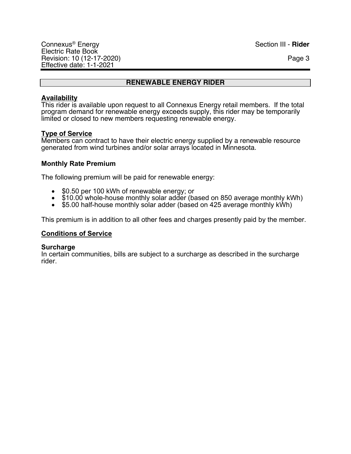## **RENEWABLE ENERGY RIDER**

#### **Availability**

This rider is available upon request to all Connexus Energy retail members. If the total program demand for renewable energy exceeds supply, this rider may be temporarily limited or closed to new members requesting renewable energy.

#### **Type of Service**

Members can contract to have their electric energy supplied by a renewable resource generated from wind turbines and/or solar arrays located in Minnesota.

#### **Monthly Rate Premium**

The following premium will be paid for renewable energy:

- \$0.50 per 100 kWh of renewable energy; or
- \$10.00 whole-house monthly solar adder (based on 850 average monthly kWh)
- \$5.00 half-house monthly solar adder (based on 425 average monthly kWh)

This premium is in addition to all other fees and charges presently paid by the member.

#### **Conditions of Service**

#### **Surcharge**

In certain communities, bills are subject to a surcharge as described in the surcharge rider.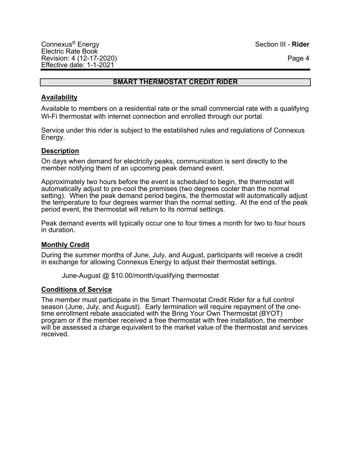## **SMART THERMOSTAT CREDIT RIDER**

#### **Availability**

Available to members on a residential rate or the small commercial rate with a qualifying Wi-Fi thermostat with internet connection and enrolled through our portal.

Service under this rider is subject to the established rules and regulations of Connexus Energy.

#### **Description**

On days when demand for electricity peaks, communication is sent directly to the member notifying them of an upcoming peak demand event.

Approximately two hours before the event is scheduled to begin, the thermostat will automatically adjust to pre-cool the premises (two degrees cooler than the normal setting). When the peak demand period begins, the thermostat will automatically adjust the temperature to four degrees warmer than the normal setting. At the end of the peak period event, the thermostat will return to its normal settings.

Peak demand events will typically occur one to four times a month for two to four hours in duration.

#### **Monthly Credit**

During the summer months of June, July, and August, participants will receive a credit in exchange for allowing Connexus Energy to adjust their thermostat settings.

June-August @ \$10.00/month/qualifying thermostat

#### **Conditions of Service**

The member must participate in the Smart Thermostat Credit Rider for a full control season (June, July, and August). Early termination will require repayment of the onetime enrollment rebate associated with the Bring Your Own Thermostat (BYOT) program or if the member received a free thermostat with free installation, the member will be assessed a charge equivalent to the market value of the thermostat and services received.